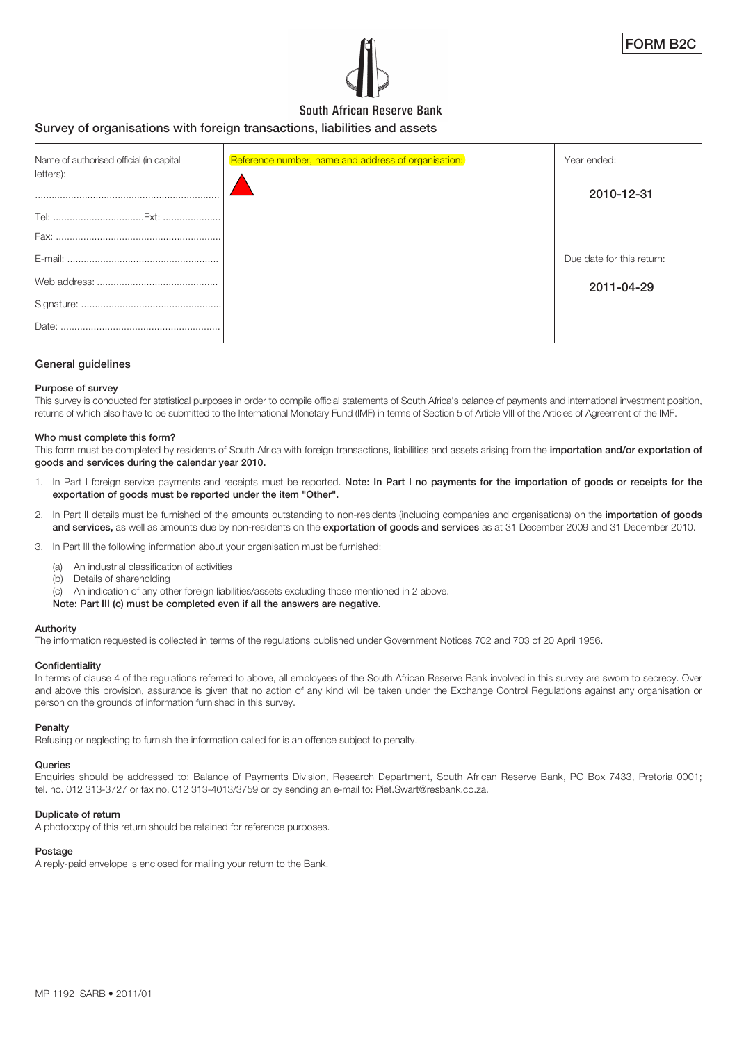

# South African Reserve Bank

# **Survey of organisations with foreign transactions, liabilities and assets**

| Name of authorised official (in capital<br>letters): | Reference number, name and address of organisation: | Year ended:               |
|------------------------------------------------------|-----------------------------------------------------|---------------------------|
|                                                      |                                                     | 2010-12-31                |
|                                                      |                                                     |                           |
|                                                      |                                                     |                           |
|                                                      |                                                     | Due date for this return: |
|                                                      |                                                     | 2011-04-29                |
|                                                      |                                                     |                           |
| Date:                                                |                                                     |                           |

#### **General guidelines**

#### **Purpose of survey**

This survey is conducted for statistical purposes in order to compile official statements of South Africa's balance of payments and international investment position, returns of which also have to be submitted to the International Monetary Fund (IMF) in terms of Section 5 of Article VIII of the Articles of Agreement of the IMF.

#### **Who must complete this form?**

This form must be completed by residents of South Africa with foreign transactions, liabilities and assets arising from the **importation and/or exportation of goods and services during the calendar year 2010.**

- 1. In Part I foreign service payments and receipts must be reported. **Note: In Part I no payments for the importation of goods or receipts for the exportation of goods must be reported under the item "Other".**
- 2. In Part II details must be furnished of the amounts outstanding to non-residents (including companies and organisations) on the **importation of goods and services,** as well as amounts due by non-residents on the **exportation of goods and services** as at 31 December 2009 and 31 December 2010.
- 3. In Part III the following information about your organisation must be furnished:
	- (a) An industrial classification of activities
	- (b) Details of shareholding

(c) An indication of any other foreign liabilities/assets excluding those mentioned in 2 above.

#### **Note: Part III (c) must be completed even if all the answers are negative.**

#### **Authority**

The information requested is collected in terms of the regulations published under Government Notices 702 and 703 of 20 April 1956.

#### **Confidentiality**

In terms of clause 4 of the requlations referred to above, all employees of the South African Reserve Bank involved in this survey are sworn to secrecy. Over and above this provision, assurance is given that no action of any kind will be taken under the Exchange Control Regulations against any organisation or person on the grounds of information furnished in this survey.

#### **Penalty**

Refusing or neglecting to furnish the information called for is an offence subject to penalty.

#### **Queries**

Enquiries should be addressed to: Balance of Payments Division, Research Department, South African Reserve Bank, PO Box 7433, Pretoria 0001; tel. no. 012 313-3727 or fax no. 012 313-4013/3759 or by sending an e-mail to: Piet.Swart@resbank.co.za.

#### **Duplicate of return**

A photocopy of this return should be retained for reference purposes.

#### **Postage**

A reply-paid envelope is enclosed for mailing your return to the Bank.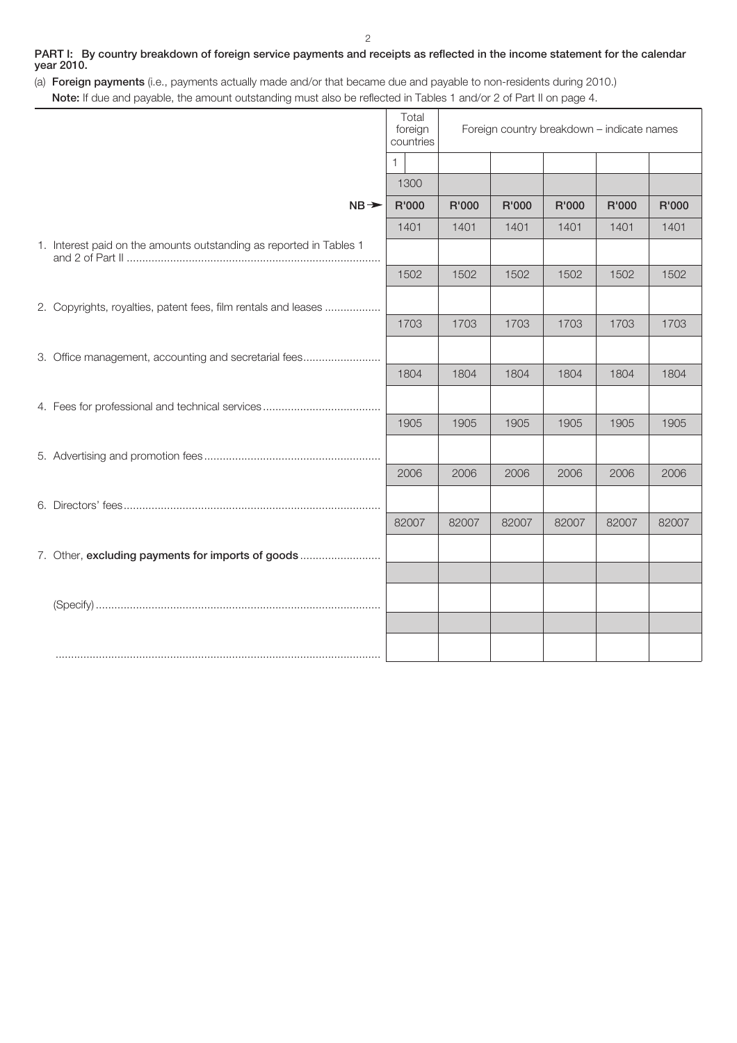## **PART I: By country breakdown of foreign service payments and receipts as reflected in the income statement for the calendar year 2010.**

(a) **Foreign payments** (i.e., payments actually made and/or that became due and payable to non-residents during 2010.) **Note:** If due and payable, the amount outstanding must also be reflected in Tables 1 and/or 2 of Part II on page 4.

|                                                                     | Total<br>foreign<br>countries | Foreign country breakdown - indicate names |       |       |       |       |
|---------------------------------------------------------------------|-------------------------------|--------------------------------------------|-------|-------|-------|-------|
|                                                                     | $\mathbf{1}$                  |                                            |       |       |       |       |
|                                                                     | 1300                          |                                            |       |       |       |       |
| $NB \rightarrow$                                                    | R'000                         | R'000                                      | R'000 | R'000 | R'000 | R'000 |
|                                                                     | 1401                          | 1401                                       | 1401  | 1401  | 1401  | 1401  |
| 1. Interest paid on the amounts outstanding as reported in Tables 1 |                               |                                            |       |       |       |       |
|                                                                     | 1502                          | 1502                                       | 1502  | 1502  | 1502  | 1502  |
| 2. Copyrights, royalties, patent fees, film rentals and leases      |                               |                                            |       |       |       |       |
|                                                                     | 1703                          | 1703                                       | 1703  | 1703  | 1703  | 1703  |
| 3. Office management, accounting and secretarial fees               |                               |                                            |       |       |       |       |
|                                                                     | 1804                          | 1804                                       | 1804  | 1804  | 1804  | 1804  |
|                                                                     |                               |                                            |       |       |       |       |
|                                                                     | 1905                          | 1905                                       | 1905  | 1905  | 1905  | 1905  |
|                                                                     |                               |                                            |       |       |       |       |
|                                                                     | 2006                          | 2006                                       | 2006  | 2006  | 2006  | 2006  |
|                                                                     |                               |                                            |       |       |       |       |
|                                                                     | 82007                         | 82007                                      | 82007 | 82007 | 82007 | 82007 |
| 7. Other, excluding payments for imports of goods                   |                               |                                            |       |       |       |       |
|                                                                     |                               |                                            |       |       |       |       |
|                                                                     |                               |                                            |       |       |       |       |
|                                                                     |                               |                                            |       |       |       |       |
|                                                                     |                               |                                            |       |       |       |       |
|                                                                     |                               |                                            |       |       |       |       |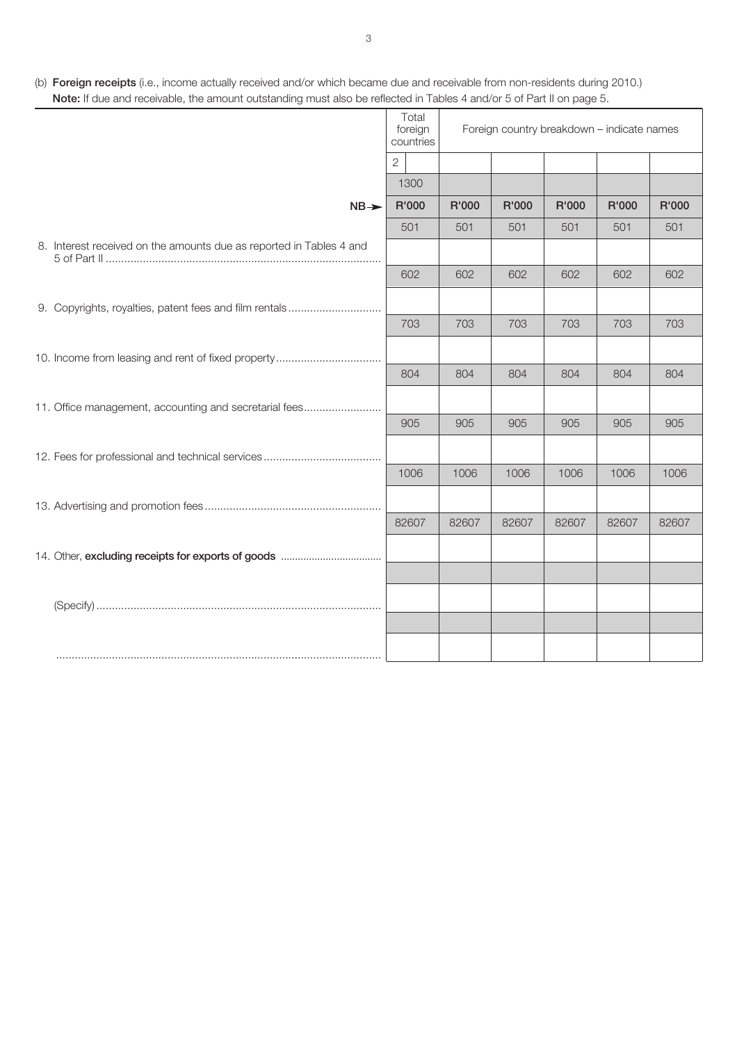(b) **Foreign receipts** (i.e., income actually received and/or which became due and receivable from non-residents during 2010.) **Note:** If due and receivable, the amount outstanding must also be reflected in Tables 4 and/or 5 of Part II on page 5.

|                                                                     | Total<br>foreign<br>countries | Foreign country breakdown - indicate names |       |       |       |       |
|---------------------------------------------------------------------|-------------------------------|--------------------------------------------|-------|-------|-------|-------|
|                                                                     | $\overline{2}$                |                                            |       |       |       |       |
|                                                                     | 1300                          |                                            |       |       |       |       |
| $NB \rightarrow$                                                    | R'000                         | R'000                                      | R'000 | R'000 | R'000 | R'000 |
|                                                                     | 501                           | 501                                        | 501   | 501   | 501   | 501   |
| 8. Interest received on the amounts due as reported in Tables 4 and |                               |                                            |       |       |       |       |
|                                                                     | 602                           | 602                                        | 602   | 602   | 602   | 602   |
| 9. Copyrights, royalties, patent fees and film rentals              |                               |                                            |       |       |       |       |
|                                                                     | 703                           | 703                                        | 703   | 703   | 703   | 703   |
|                                                                     |                               |                                            |       |       |       |       |
|                                                                     | 804                           | 804                                        | 804   | 804   | 804   | 804   |
| 11. Office management, accounting and secretarial fees              |                               |                                            |       |       |       |       |
|                                                                     | 905                           | 905                                        | 905   | 905   | 905   | 905   |
|                                                                     |                               |                                            |       |       |       |       |
|                                                                     | 1006                          | 1006                                       | 1006  | 1006  | 1006  | 1006  |
|                                                                     |                               |                                            |       |       |       |       |
|                                                                     | 82607                         | 82607                                      | 82607 | 82607 | 82607 | 82607 |
|                                                                     |                               |                                            |       |       |       |       |
|                                                                     |                               |                                            |       |       |       |       |
|                                                                     |                               |                                            |       |       |       |       |
|                                                                     |                               |                                            |       |       |       |       |
|                                                                     |                               |                                            |       |       |       |       |
|                                                                     |                               |                                            |       |       |       |       |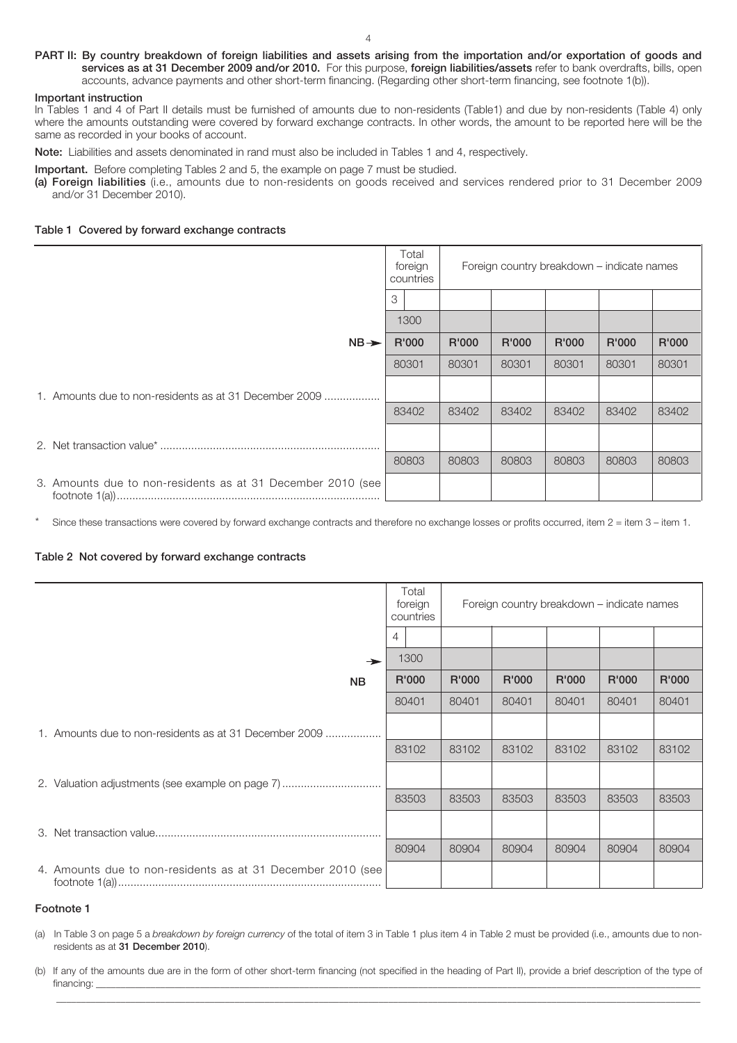#### **PART II: By country breakdown of foreign liabilities and assets arising from the importation and/or exportation of goods and services as at 31 December 2009 and/or 2010.** For this purpose, **foreign liabilities/assets** refer to bank overdrafts, bills, open accounts, advance payments and other short-term financing. (Regarding other short-term financing, see footnote 1(b)).

#### **Important instruction**

In Tables 1 and 4 of Part II details must be furnished of amounts due to non-residents (Table1) and due by non-residents (Table 4) only where the amounts outstanding were covered by forward exchange contracts. In other words, the amount to be reported here will be the same as recorded in your books of account.

**Note:** Liabilities and assets denominated in rand must also be included in Tables 1 and 4, respectively.

**Important.** Before completing Tables 2 and 5, the example on page 7 must be studied.

**(a) Foreign liabilities** (i.e., amounts due to non-residents on goods received and services rendered prior to 31 December 2009 and/or 31 December 2010).

#### **Table 1 Covered by forward exchange contracts**

|                                                             | Total<br>foreign<br>countries |       |       | Foreign country breakdown - indicate names |       |       |       |
|-------------------------------------------------------------|-------------------------------|-------|-------|--------------------------------------------|-------|-------|-------|
|                                                             | 3                             |       |       |                                            |       |       |       |
|                                                             |                               | 1300  |       |                                            |       |       |       |
| $NB \rightarrow$                                            |                               | R'000 | R'000 | R'000                                      | R'000 | R'000 | R'000 |
|                                                             |                               | 80301 | 80301 | 80301                                      | 80301 | 80301 | 80301 |
| 1. Amounts due to non-residents as at 31 December 2009      |                               |       |       |                                            |       |       |       |
|                                                             |                               | 83402 | 83402 | 83402                                      | 83402 | 83402 | 83402 |
|                                                             |                               |       |       |                                            |       |       |       |
|                                                             |                               | 80803 | 80803 | 80803                                      | 80803 | 80803 | 80803 |
| 3. Amounts due to non-residents as at 31 December 2010 (see |                               |       |       |                                            |       |       |       |

Since these transactions were covered by forward exchange contracts and therefore no exchange losses or profits occurred, item 2 = item 3 – item 1.

#### **Table 2 Not covered by forward exchange contracts**

|                                                             | Total<br>foreign<br>countries | Foreign country breakdown - indicate names |       |       |       |       |
|-------------------------------------------------------------|-------------------------------|--------------------------------------------|-------|-------|-------|-------|
|                                                             | 4                             |                                            |       |       |       |       |
| $\rightarrow$                                               | 1300                          |                                            |       |       |       |       |
| <b>NB</b>                                                   | R'000                         | R'000                                      | R'000 | R'000 | R'000 | R'000 |
|                                                             | 80401                         | 80401                                      | 80401 | 80401 | 80401 | 80401 |
| 1. Amounts due to non-residents as at 31 December 2009      |                               |                                            |       |       |       |       |
|                                                             | 83102                         | 83102                                      | 83102 | 83102 | 83102 | 83102 |
| 2. Valuation adjustments (see example on page 7)            |                               |                                            |       |       |       |       |
|                                                             | 83503                         | 83503                                      | 83503 | 83503 | 83503 | 83503 |
|                                                             |                               |                                            |       |       |       |       |
|                                                             | 80904                         | 80904                                      | 80904 | 80904 | 80904 | 80904 |
| 4. Amounts due to non-residents as at 31 December 2010 (see |                               |                                            |       |       |       |       |

#### **Footnote 1**

(a) In Table 3 on page 5 a *breakdown by foreign currency* of the total of item 3 in Table 1 plus item 4 in Table 2 must be provided (i.e., amounts due to nonresidents as at **31 December 2010**).

(b) If any of the amounts due are in the form of other short-term financing (not specified in the heading of Part II), provide a brief description of the type of financing: \_\_\_\_\_\_\_\_\_\_\_\_\_\_\_\_\_\_\_\_\_\_\_\_\_\_\_\_\_\_\_\_\_\_\_\_\_\_\_\_\_\_\_\_\_\_\_\_\_\_\_\_\_\_\_\_\_\_\_\_\_\_\_\_\_\_\_\_\_\_\_\_\_\_\_\_\_\_\_\_\_\_\_\_\_\_\_\_\_\_\_\_\_\_\_\_\_\_\_\_\_\_\_\_\_\_\_\_\_\_\_\_\_\_\_\_\_\_\_\_\_\_

\_\_\_\_\_\_\_\_\_\_\_\_\_\_\_\_\_\_\_\_\_\_\_\_\_\_\_\_\_\_\_\_\_\_\_\_\_\_\_\_\_\_\_\_\_\_\_\_\_\_\_\_\_\_\_\_\_\_\_\_\_\_\_\_\_\_\_\_\_\_\_\_\_\_\_\_\_\_\_\_\_\_\_\_\_\_\_\_\_\_\_\_\_\_\_\_\_\_\_\_\_\_\_\_\_\_\_\_\_\_\_\_\_\_\_\_\_\_\_\_\_\_\_\_\_\_\_\_\_\_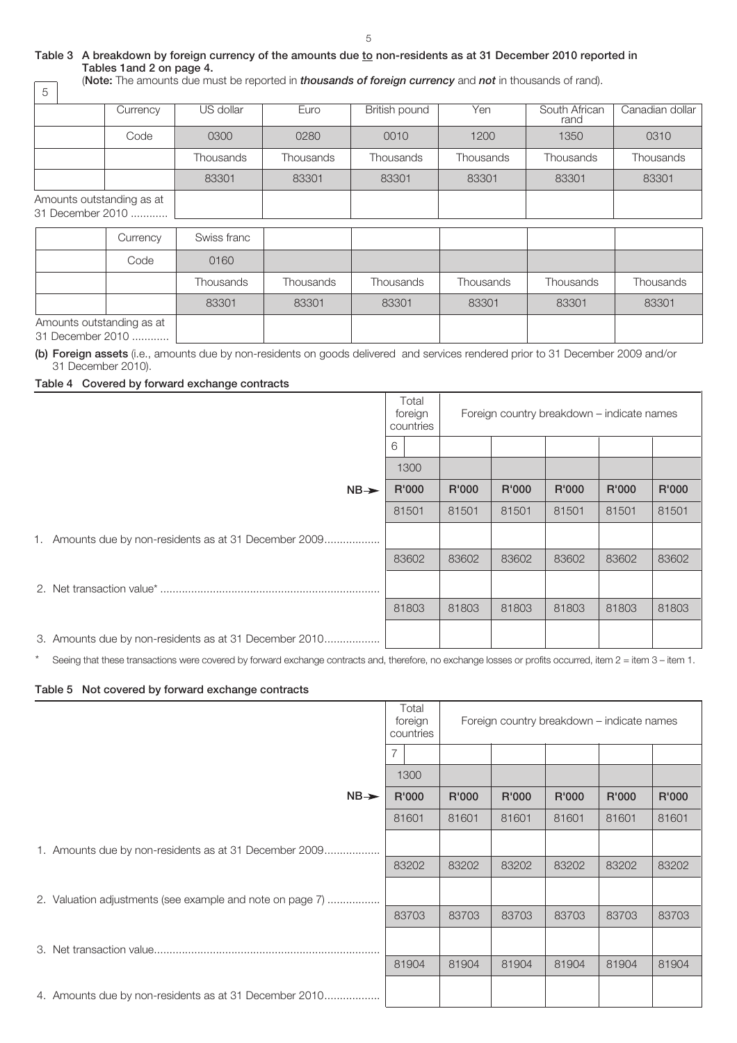5

## **Table 3 A breakdown by foreign currency of the amounts due to non-residents as at 31 December 2010 reported in Tables 1and 2 on page 4.** (**Note:** The amounts due must be reported in *thousands of foreign currency* and *not* in thousands of rand).

| 5                                             |          |           |           |               |           |                       |                 |
|-----------------------------------------------|----------|-----------|-----------|---------------|-----------|-----------------------|-----------------|
|                                               | Currency | US dollar | Euro      | British pound | Yen       | South African<br>rand | Canadian dollar |
|                                               | Code     | 0300      | 0280      | 0010          | 1200      | 1350                  | 0310            |
|                                               |          | Thousands | Thousands | Thousands     | Thousands | Thousands             | Thousands       |
|                                               |          | 83301     | 83301     | 83301         | 83301     | 83301                 | 83301           |
| Amounts outstanding as at<br>31 December 2010 |          |           |           |               |           |                       |                 |

| Currency | Swiss franc |           |           |           |           |           |
|----------|-------------|-----------|-----------|-----------|-----------|-----------|
| Code     | 0160        |           |           |           |           |           |
|          | Thousands   | Thousands | Thousands | Thousands | Thousands | Thousands |
|          | 83301       | 83301     | 83301     | 83301     | 83301     | 83301     |
|          |             |           |           |           |           |           |

31 December 2010 .............

**(b) Foreign assets** (i.e., amounts due by non-residents on goods delivered and services rendered prior to 31 December 2009 and/or 31 December 2010).

# **Table 4 Covered by forward exchange contracts**

|                                                        | Total<br>foreign<br>countries<br>6 |  | Foreign country breakdown - indicate names |       |       |       |       |
|--------------------------------------------------------|------------------------------------|--|--------------------------------------------|-------|-------|-------|-------|
|                                                        |                                    |  |                                            |       |       |       |       |
|                                                        | 1300                               |  |                                            |       |       |       |       |
| $NB \rightarrow$                                       | R'000                              |  | R'000                                      | R'000 | R'000 | R'000 | R'000 |
|                                                        | 81501                              |  | 81501                                      | 81501 | 81501 | 81501 | 81501 |
| 1. Amounts due by non-residents as at 31 December 2009 |                                    |  |                                            |       |       |       |       |
|                                                        | 83602                              |  | 83602                                      | 83602 | 83602 | 83602 | 83602 |
|                                                        |                                    |  |                                            |       |       |       |       |
|                                                        | 81803                              |  | 81803                                      | 81803 | 81803 | 81803 | 81803 |
| 3. Amounts due by non-residents as at 31 December 2010 |                                    |  |                                            |       |       |       |       |

\* Seeing that these transactions were covered by forward exchange contracts and, therefore, no exchange losses or profits occurred, item 2 = item 3 – item 1.

# **Table 5 Not covered by forward exchange contracts**

|                                                           | Total<br>foreign<br>countries | Foreign country breakdown – indicate names |       |       |       |       |  |
|-----------------------------------------------------------|-------------------------------|--------------------------------------------|-------|-------|-------|-------|--|
|                                                           | $\overline{7}$                |                                            |       |       |       |       |  |
|                                                           | 1300                          |                                            |       |       |       |       |  |
| $NB \rightarrow$                                          | R'000                         | R'000                                      | R'000 | R'000 | R'000 | R'000 |  |
|                                                           | 81601                         | 81601                                      | 81601 | 81601 | 81601 | 81601 |  |
| 1. Amounts due by non-residents as at 31 December 2009    |                               |                                            |       |       |       |       |  |
|                                                           | 83202                         | 83202                                      | 83202 | 83202 | 83202 | 83202 |  |
| 2. Valuation adjustments (see example and note on page 7) |                               |                                            |       |       |       |       |  |
|                                                           | 83703                         | 83703                                      | 83703 | 83703 | 83703 | 83703 |  |
|                                                           |                               |                                            |       |       |       |       |  |
|                                                           | 81904                         | 81904                                      | 81904 | 81904 | 81904 | 81904 |  |
| 4. Amounts due by non-residents as at 31 December 2010    |                               |                                            |       |       |       |       |  |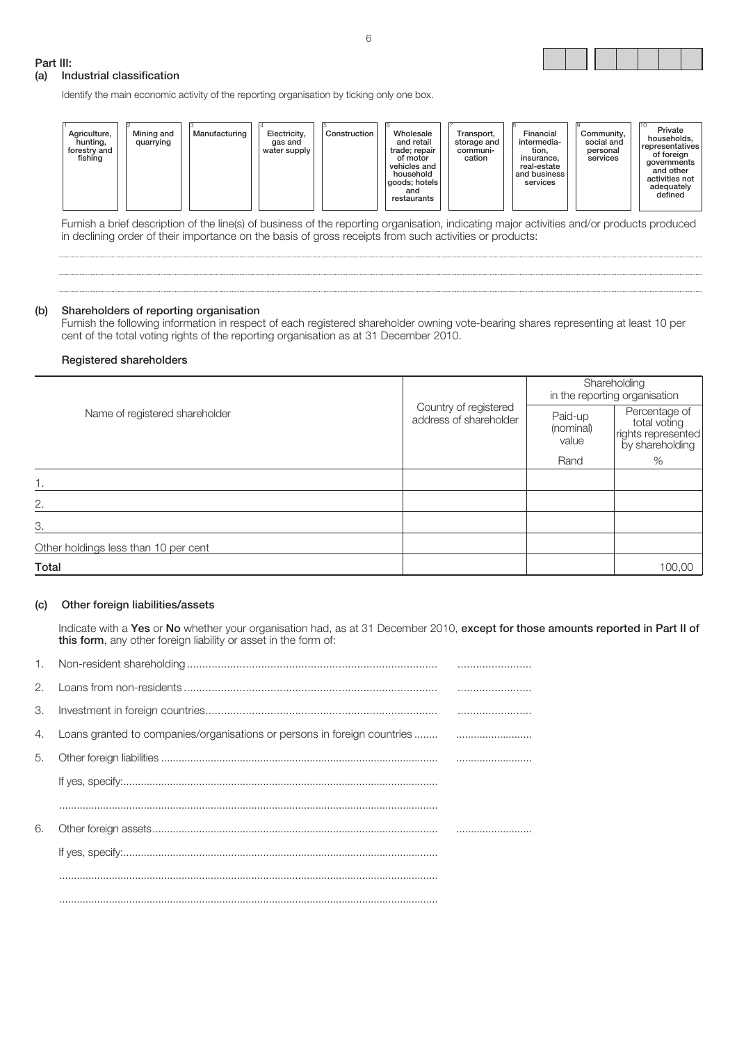

## **Part III:**

# **(a) Industrial classification**

Identify the main economic activity of the reporting organisation by ticking only one box.

Furnish a brief description of the line(s) of business of the reporting organisation, indicating major activities and/or products produced in declining order of their importance on the basis of gross receipts from such activities or products:

# **(b) Shareholders of reporting organisation**

Furnish the following information in respect of each registered shareholder owning vote-bearing shares representing at least 10 per cent of the total voting rights of the reporting organisation as at 31 December 2010.

## **Registered shareholders**

|                                      |                                                 | Shareholding<br>in the reporting organisation |                                                     |  |  |
|--------------------------------------|-------------------------------------------------|-----------------------------------------------|-----------------------------------------------------|--|--|
| Name of registered shareholder       | Country of registered<br>address of shareholder | Paid-up<br>(nominal)<br>value                 | Percentage of<br>total voting<br>rights represented |  |  |
|                                      |                                                 | Rand                                          | $\%$                                                |  |  |
| 1.                                   |                                                 |                                               |                                                     |  |  |
| 2.                                   |                                                 |                                               |                                                     |  |  |
| З.                                   |                                                 |                                               |                                                     |  |  |
| Other holdings less than 10 per cent |                                                 |                                               |                                                     |  |  |
| Total                                |                                                 |                                               | 100,00                                              |  |  |

## **(c) Other foreign liabilities/assets**

Indicate with a **Yes** or **No** whether your organisation had, as at 31 December 2010, **except for those amounts reported in Part II of this form**, any other foreign liability or asset in the form of:

| 2. |  |
|----|--|
| З. |  |
| 4. |  |
| 5. |  |
|    |  |
|    |  |
| 6. |  |
|    |  |
|    |  |
|    |  |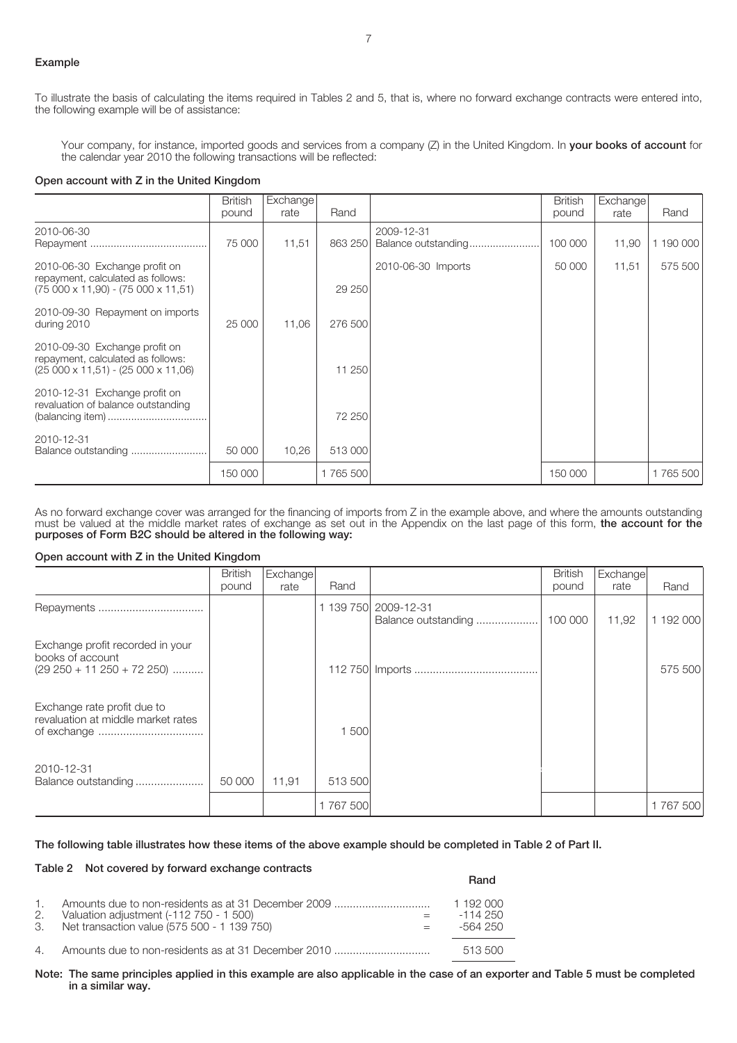## **Example**

To illustrate the basis of calculating the items required in Tables 2 and 5, that is, where no forward exchange contracts were entered into, the following example will be of assistance:

Your company, for instance, imported goods and services from a company (Z) in the United Kingdom. In **your books of account** for the calendar year 2010 the following transactions will be reflected:

#### **Open account with Z in the United Kingdom**

|                                                                                                                     | <b>British</b> | Exchange |          |                                   | <b>British</b> | Exchange |           |
|---------------------------------------------------------------------------------------------------------------------|----------------|----------|----------|-----------------------------------|----------------|----------|-----------|
|                                                                                                                     | pound          | rate     | Rand     |                                   | pound          | rate     | Rand      |
| 2010-06-30                                                                                                          | 75 000         | 11,51    | 863 250  | 2009-12-31<br>Balance outstanding | 100 000        | 11,90    | 1 190 000 |
| 2010-06-30 Exchange profit on<br>repayment, calculated as follows:<br>$(75000 \times 11,90) - (75000 \times 11,51)$ |                |          | 29 250   | 2010-06-30 Imports                | 50 000         | 11,51    | 575 500   |
| 2010-09-30 Repayment on imports<br>during 2010                                                                      | 25 000         | 11,06    | 276 500  |                                   |                |          |           |
| 2010-09-30 Exchange profit on<br>repayment, calculated as follows:<br>$(25000 \times 11,51) - (25000 \times 11,06)$ |                |          | 11 250   |                                   |                |          |           |
| 2010-12-31 Exchange profit on<br>revaluation of balance outstanding                                                 |                |          | 72 250   |                                   |                |          |           |
| 2010-12-31                                                                                                          | 50 000         | 10,26    | 513 000  |                                   |                |          |           |
|                                                                                                                     | 150 000        |          | 1765 500 |                                   | 150 000        |          | 1765 500  |

As no forward exchange cover was arranged for the financing of imports from Z in the example above, and where the amounts outstanding must be valued at the middle market rates of exchange as set out in the Appendix on the last page of this form, **the account for the purposes of Form B2C should be altered in the following way:**

#### **Open account with Z in the United Kingdom**

**Table 2 Not covered by forward exchange contracts**

|                                                                                      | <b>British</b> | Exchange |         |                                             | <b>British</b> | Exchange |           |
|--------------------------------------------------------------------------------------|----------------|----------|---------|---------------------------------------------|----------------|----------|-----------|
|                                                                                      | pound          | rate     | Rand    |                                             | pound          | rate     | Rand      |
|                                                                                      |                |          |         | 1 139 750 2009-12-31<br>Balance outstanding | 100 000        | 11,92    | 1 192 000 |
| Exchange profit recorded in your<br>books of account<br>$(29 250 + 11 250 + 72 250)$ |                |          |         |                                             |                |          | 575 500   |
| Exchange rate profit due to<br>revaluation at middle market rates                    |                |          | 500     |                                             |                |          |           |
| 2010-12-31<br>Balance outstanding                                                    | 50 000         | 11,91    | 513 500 |                                             |                |          |           |
|                                                                                      |                |          | 1767500 |                                             |                |          | 1767500   |

#### **The following table illustrates how these items of the above example should be completed in Table 2 of Part II.**

|                                                                                                                                                        | Rand                                |
|--------------------------------------------------------------------------------------------------------------------------------------------------------|-------------------------------------|
| 1. Amounts due to non-residents as at 31 December 2009<br>2. Valuation adjustment (-112 750 - 1 500)<br>3. Net transaction value (575 500 - 1 139 750) | 1 192 000<br>$-114.250$<br>-564 250 |
|                                                                                                                                                        | 513 500                             |

**Note: The same principles applied in this example are also applicable in the case of an exporter and Table 5 must be completed in a similar way.**